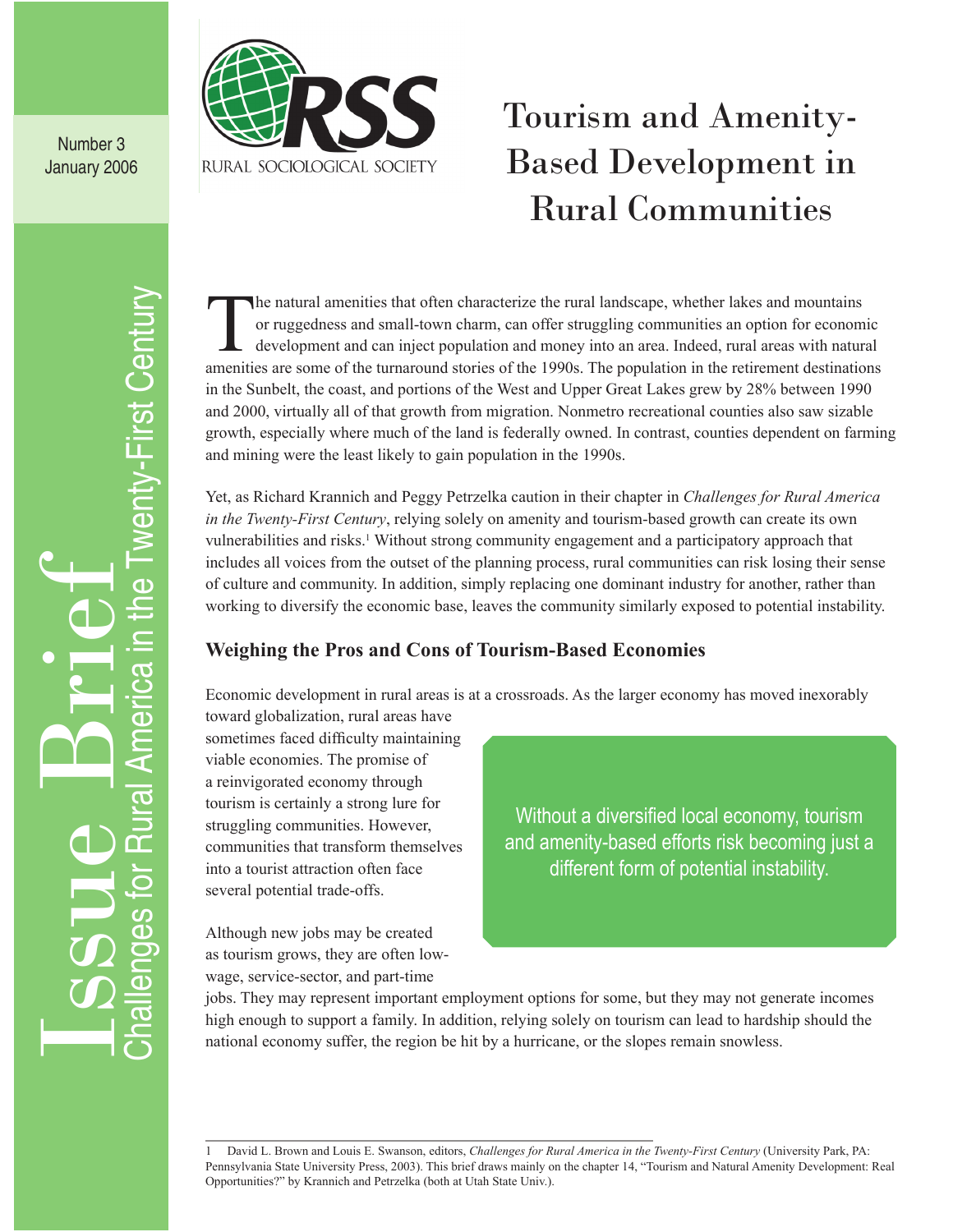

Number 3 January 2006

## Tourism and Amenity-Based Development in Rural Communities

Challenges for Rural America in the Twenty-First Century Wenty-First Century Issue Brief മ  $\subset$ <mark>ය</mark>  $\overline{\mathbf{d}}$ **Am**  $\overline{\mathfrak{B}}$  $\mathsf{C}$  $\overline{\Omega}$ <u>က</u> ğ  $\overline{\mathbf{d}}$  $\overline{\mathbf{c}}$ 

The natural amenities that often characterize the rural landscape, whether lakes and mountains<br>or ruggedness and small-town charm, can offer struggling communities an option for econom<br>development and can inject population or ruggedness and small-town charm, can offer struggling communities an option for economic development and can inject population and money into an area. Indeed, rural areas with natural amenities are some of the turnaround stories of the 1990s. The population in the retirement destinations in the Sunbelt, the coast, and portions of the West and Upper Great Lakes grew by 28% between 1990 and 2000, virtually all of that growth from migration. Nonmetro recreational counties also saw sizable growth, especially where much of the land is federally owned. In contrast, counties dependent on farming and mining were the least likely to gain population in the 1990s.

Yet, as Richard Krannich and Peggy Petrzelka caution in their chapter in *Challenges for Rural America in the Twenty-First Century*, relying solely on amenity and tourism-based growth can create its own vulnerabilities and risks.<sup>1</sup> Without strong community engagement and a participatory approach that includes all voices from the outset of the planning process, rural communities can risk losing their sense of culture and community. In addition, simply replacing one dominant industry for another, rather than working to diversify the economic base, leaves the community similarly exposed to potential instability.

## **Weighing the Pros and Cons of Tourism-Based Economies**

Economic development in rural areas is at a crossroads. As the larger economy has moved inexorably

toward globalization, rural areas have sometimes faced difficulty maintaining viable economies. The promise of a reinvigorated economy through tourism is certainly a strong lure for struggling communities. However, communities that transform themselves into a tourist attraction often face several potential trade-offs.

Although new jobs may be created as tourism grows, they are often lowwage, service-sector, and part-time

Without a diversified local economy, tourism and amenity-based efforts risk becoming just a different form of potential instability.

jobs. They may represent important employment options for some, but they may not generate incomes high enough to support a family. In addition, relying solely on tourism can lead to hardship should the national economy suffer, the region be hit by a hurricane, or the slopes remain snowless.

<sup>1</sup> David L. Brown and Louis E. Swanson, editors, *Challenges for Rural America in the Twenty-First Century* (University Park, PA: Pennsylvania State University Press, 2003). This brief draws mainly on the chapter 14, "Tourism and Natural Amenity Development: Real Opportunities?" by Krannich and Petrzelka (both at Utah State Univ.).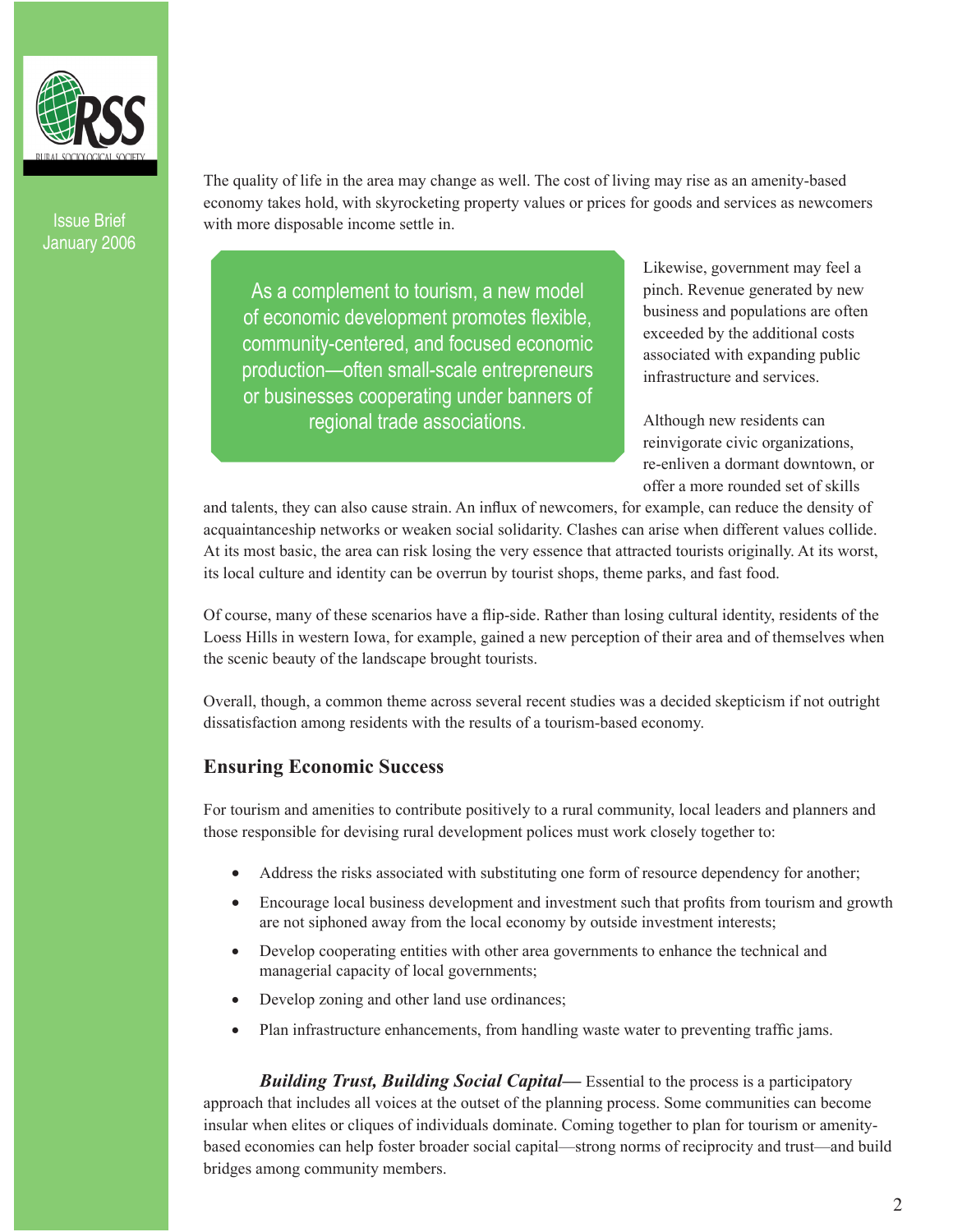Issue Brief January 2006 The quality of life in the area may change as well. The cost of living may rise as an amenity-based economy takes hold, with skyrocketing property values or prices for goods and services as newcomers with more disposable income settle in.

As a complement to tourism, a new model of economic development promotes flexible, community-centered, and focused economic production—often small-scale entrepreneurs or businesses cooperating under banners of regional trade associations.

Likewise, government may feel a pinch. Revenue generated by new business and populations are often exceeded by the additional costs associated with expanding public infrastructure and services.

Although new residents can reinvigorate civic organizations, re-enliven a dormant downtown, or offer a more rounded set of skills

and talents, they can also cause strain. An influx of newcomers, for example, can reduce the density of acquaintanceship networks or weaken social solidarity. Clashes can arise when different values collide. At its most basic, the area can risk losing the very essence that attracted tourists originally. At its worst, its local culture and identity can be overrun by tourist shops, theme parks, and fast food.

Of course, many of these scenarios have a flip-side. Rather than losing cultural identity, residents of the Loess Hills in western Iowa, for example, gained a new perception of their area and of themselves when the scenic beauty of the landscape brought tourists.

Overall, though, a common theme across several recent studies was a decided skepticism if not outright dissatisfaction among residents with the results of a tourism-based economy.

## **Ensuring Economic Success**

For tourism and amenities to contribute positively to a rural community, local leaders and planners and those responsible for devising rural development polices must work closely together to:

- Address the risks associated with substituting one form of resource dependency for another;
- Encourage local business development and investment such that profits from tourism and growth are not siphoned away from the local economy by outside investment interests;
- Develop cooperating entities with other area governments to enhance the technical and managerial capacity of local governments;
- Develop zoning and other land use ordinances;
- Plan infrastructure enhancements, from handling waste water to preventing traffic jams.

*Building Trust, Building Social Capital—* Essential to the process is a participatory approach that includes all voices at the outset of the planning process. Some communities can become insular when elites or cliques of individuals dominate. Coming together to plan for tourism or amenitybased economies can help foster broader social capital—strong norms of reciprocity and trust—and build bridges among community members.